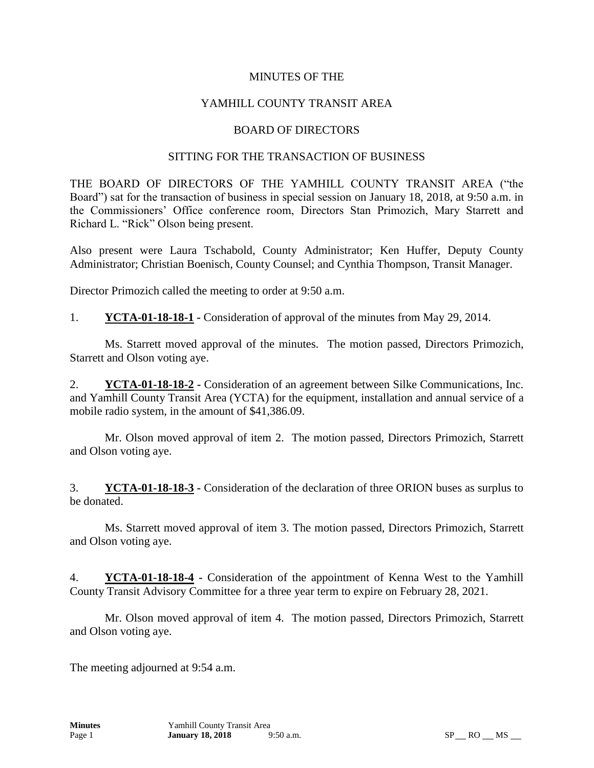### MINUTES OF THE

## YAMHILL COUNTY TRANSIT AREA

#### BOARD OF DIRECTORS

#### SITTING FOR THE TRANSACTION OF BUSINESS

THE BOARD OF DIRECTORS OF THE YAMHILL COUNTY TRANSIT AREA ("the Board") sat for the transaction of business in special session on January 18, 2018, at 9:50 a.m. in the Commissioners' Office conference room, Directors Stan Primozich, Mary Starrett and Richard L. "Rick" Olson being present.

Also present were Laura Tschabold, County Administrator; Ken Huffer, Deputy County Administrator; Christian Boenisch, County Counsel; and Cynthia Thompson, Transit Manager.

Director Primozich called the meeting to order at 9:50 a.m.

1. **YCTA-01-18-18-1 -** Consideration of approval of the minutes from May 29, 2014.

Ms. Starrett moved approval of the minutes. The motion passed, Directors Primozich, Starrett and Olson voting aye.

2. **YCTA-01-18-18-2 -** Consideration of an agreement between Silke Communications, Inc. and Yamhill County Transit Area (YCTA) for the equipment, installation and annual service of a mobile radio system, in the amount of \$41,386.09.

Mr. Olson moved approval of item 2. The motion passed, Directors Primozich, Starrett and Olson voting aye.

3. **YCTA-01-18-18-3 -** Consideration of the declaration of three ORION buses as surplus to be donated.

Ms. Starrett moved approval of item 3. The motion passed, Directors Primozich, Starrett and Olson voting aye.

4. **YCTA-01-18-18-4 -** Consideration of the appointment of Kenna West to the Yamhill County Transit Advisory Committee for a three year term to expire on February 28, 2021.

Mr. Olson moved approval of item 4. The motion passed, Directors Primozich, Starrett and Olson voting aye.

The meeting adjourned at 9:54 a.m.